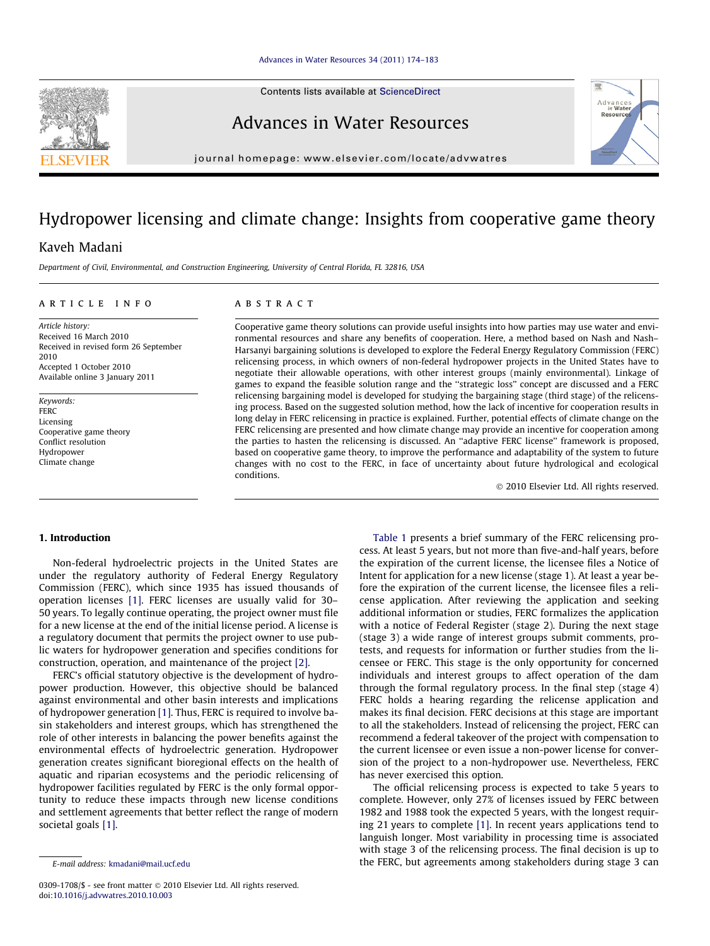Contents lists available at [ScienceDirect](http://www.sciencedirect.com/science/journal/03091708)

## Advances in Water Resources

journal homepage: [www.elsevier.com/locate/advwatres](http://www.elsevier.com/locate/advwatres)

# Hydropower licensing and climate change: Insights from cooperative game theory

### Kaveh Madani

Department of Civil, Environmental, and Construction Engineering, University of Central Florida, FL 32816, USA

#### article info

Article history: Received 16 March 2010 Received in revised form 26 September 2010 Accepted 1 October 2010 Available online 3 January 2011

Keywords: **FERC** Licensing Cooperative game theory Conflict resolution Hydropower Climate change

#### **ABSTRACT**

Cooperative game theory solutions can provide useful insights into how parties may use water and environmental resources and share any benefits of cooperation. Here, a method based on Nash and Nash– Harsanyi bargaining solutions is developed to explore the Federal Energy Regulatory Commission (FERC) relicensing process, in which owners of non-federal hydropower projects in the United States have to negotiate their allowable operations, with other interest groups (mainly environmental). Linkage of games to expand the feasible solution range and the ''strategic loss'' concept are discussed and a FERC relicensing bargaining model is developed for studying the bargaining stage (third stage) of the relicensing process. Based on the suggested solution method, how the lack of incentive for cooperation results in long delay in FERC relicensing in practice is explained. Further, potential effects of climate change on the FERC relicensing are presented and how climate change may provide an incentive for cooperation among the parties to hasten the relicensing is discussed. An ''adaptive FERC license'' framework is proposed, based on cooperative game theory, to improve the performance and adaptability of the system to future changes with no cost to the FERC, in face of uncertainty about future hydrological and ecological conditions.

- 2010 Elsevier Ltd. All rights reserved.

#### 1. Introduction

Non-federal hydroelectric projects in the United States are under the regulatory authority of Federal Energy Regulatory Commission (FERC), which since 1935 has issued thousands of operation licenses [\[1\].](#page-9-0) FERC licenses are usually valid for 30– 50 years. To legally continue operating, the project owner must file for a new license at the end of the initial license period. A license is a regulatory document that permits the project owner to use public waters for hydropower generation and specifies conditions for construction, operation, and maintenance of the project [\[2\]](#page-9-0).

FERC's official statutory objective is the development of hydropower production. However, this objective should be balanced against environmental and other basin interests and implications of hydropower generation [\[1\]](#page-9-0). Thus, FERC is required to involve basin stakeholders and interest groups, which has strengthened the role of other interests in balancing the power benefits against the environmental effects of hydroelectric generation. Hydropower generation creates significant bioregional effects on the health of aquatic and riparian ecosystems and the periodic relicensing of hydropower facilities regulated by FERC is the only formal opportunity to reduce these impacts through new license conditions and settlement agreements that better reflect the range of modern societal goals [\[1\].](#page-9-0)

[Table 1](#page-1-0) presents a brief summary of the FERC relicensing process. At least 5 years, but not more than five-and-half years, before the expiration of the current license, the licensee files a Notice of Intent for application for a new license (stage 1). At least a year before the expiration of the current license, the licensee files a relicense application. After reviewing the application and seeking additional information or studies, FERC formalizes the application with a notice of Federal Register (stage 2). During the next stage (stage 3) a wide range of interest groups submit comments, protests, and requests for information or further studies from the licensee or FERC. This stage is the only opportunity for concerned individuals and interest groups to affect operation of the dam through the formal regulatory process. In the final step (stage 4) FERC holds a hearing regarding the relicense application and makes its final decision. FERC decisions at this stage are important to all the stakeholders. Instead of relicensing the project, FERC can recommend a federal takeover of the project with compensation to the current licensee or even issue a non-power license for conversion of the project to a non-hydropower use. Nevertheless, FERC has never exercised this option.

The official relicensing process is expected to take 5 years to complete. However, only 27% of licenses issued by FERC between 1982 and 1988 took the expected 5 years, with the longest requiring 21 years to complete [\[1\].](#page-9-0) In recent years applications tend to languish longer. Most variability in processing time is associated with stage 3 of the relicensing process. The final decision is up to the FERC, but agreements among stakeholders during stage 3 can





E-mail address: [kmadani@mail.ucf.edu](mailto:kmadani@mail.ucf.edu)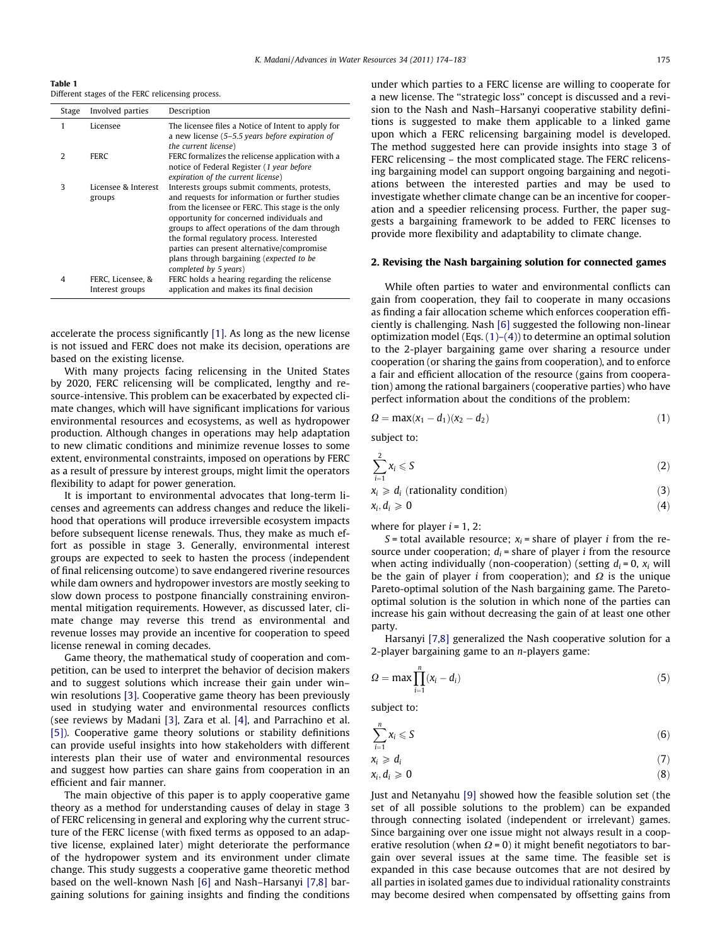<span id="page-1-0"></span>Table 1 Different stages of the FERC relicensing process.

| Stage         | Involved parties                     | Description                                                                                                                                                                                                                                                                                                                                                                                                        |
|---------------|--------------------------------------|--------------------------------------------------------------------------------------------------------------------------------------------------------------------------------------------------------------------------------------------------------------------------------------------------------------------------------------------------------------------------------------------------------------------|
| 1             | Licensee                             | The licensee files a Notice of Intent to apply for<br>a new license $(5-5.5 \text{ years})$ before expiration of<br>the current license)                                                                                                                                                                                                                                                                           |
| $\mathcal{L}$ | <b>FERC</b>                          | FERC formalizes the relicense application with a<br>notice of Federal Register (1 year before<br>expiration of the current license)                                                                                                                                                                                                                                                                                |
| 3             | Licensee & Interest<br>groups        | Interests groups submit comments, protests,<br>and requests for information or further studies<br>from the licensee or FERC. This stage is the only<br>opportunity for concerned individuals and<br>groups to affect operations of the dam through<br>the formal regulatory process. Interested<br>parties can present alternative/compromise<br>plans through bargaining (expected to be<br>completed by 5 years) |
| 4             | FERC, Licensee, &<br>Interest groups | FERC holds a hearing regarding the relicense<br>application and makes its final decision                                                                                                                                                                                                                                                                                                                           |

accelerate the process significantly [\[1\]](#page-9-0). As long as the new license is not issued and FERC does not make its decision, operations are based on the existing license.

With many projects facing relicensing in the United States by 2020, FERC relicensing will be complicated, lengthy and resource-intensive. This problem can be exacerbated by expected climate changes, which will have significant implications for various environmental resources and ecosystems, as well as hydropower production. Although changes in operations may help adaptation to new climatic conditions and minimize revenue losses to some extent, environmental constraints, imposed on operations by FERC as a result of pressure by interest groups, might limit the operators flexibility to adapt for power generation.

It is important to environmental advocates that long-term licenses and agreements can address changes and reduce the likelihood that operations will produce irreversible ecosystem impacts before subsequent license renewals. Thus, they make as much effort as possible in stage 3. Generally, environmental interest groups are expected to seek to hasten the process (independent of final relicensing outcome) to save endangered riverine resources while dam owners and hydropower investors are mostly seeking to slow down process to postpone financially constraining environmental mitigation requirements. However, as discussed later, climate change may reverse this trend as environmental and revenue losses may provide an incentive for cooperation to speed license renewal in coming decades.

Game theory, the mathematical study of cooperation and competition, can be used to interpret the behavior of decision makers and to suggest solutions which increase their gain under win– win resolutions [\[3\].](#page-9-0) Cooperative game theory has been previously used in studying water and environmental resources conflicts (see reviews by Madani [\[3\]](#page-9-0), Zara et al. [\[4\],](#page-9-0) and Parrachino et al. [\[5\]](#page-9-0)). Cooperative game theory solutions or stability definitions can provide useful insights into how stakeholders with different interests plan their use of water and environmental resources and suggest how parties can share gains from cooperation in an efficient and fair manner.

The main objective of this paper is to apply cooperative game theory as a method for understanding causes of delay in stage 3 of FERC relicensing in general and exploring why the current structure of the FERC license (with fixed terms as opposed to an adaptive license, explained later) might deteriorate the performance of the hydropower system and its environment under climate change. This study suggests a cooperative game theoretic method based on the well-known Nash [\[6\]](#page-9-0) and Nash–Harsanyi [\[7,8\]](#page-9-0) bargaining solutions for gaining insights and finding the conditions under which parties to a FERC license are willing to cooperate for a new license. The ''strategic loss'' concept is discussed and a revision to the Nash and Nash–Harsanyi cooperative stability definitions is suggested to make them applicable to a linked game upon which a FERC relicensing bargaining model is developed. The method suggested here can provide insights into stage 3 of FERC relicensing – the most complicated stage. The FERC relicensing bargaining model can support ongoing bargaining and negotiations between the interested parties and may be used to investigate whether climate change can be an incentive for cooperation and a speedier relicensing process. Further, the paper suggests a bargaining framework to be added to FERC licenses to provide more flexibility and adaptability to climate change.

#### 2. Revising the Nash bargaining solution for connected games

While often parties to water and environmental conflicts can gain from cooperation, they fail to cooperate in many occasions as finding a fair allocation scheme which enforces cooperation efficiently is challenging. Nash [\[6\]](#page-9-0) suggested the following non-linear optimization model (Eqs. (1)–(4)) to determine an optimal solution to the 2-player bargaining game over sharing a resource under cooperation (or sharing the gains from cooperation), and to enforce a fair and efficient allocation of the resource (gains from cooperation) among the rational bargainers (cooperative parties) who have perfect information about the conditions of the problem:

$$
\Omega = \max(x_1 - d_1)(x_2 - d_2) \tag{1}
$$

subject to:

$$
\sum_{i=1}^{2} x_i \leqslant S \tag{2}
$$

 $x_i \geq d_i$  (rationality condition) (3)

$$
x_i, d_i \geqslant 0 \tag{4}
$$

where for player  $i = 1, 2$ :

S = total available resource;  $x_i$  = share of player *i* from the resource under cooperation;  $d_i$  = share of player *i* from the resource when acting individually (non-cooperation) (setting  $d_i = 0$ ,  $x_i$  will be the gain of player *i* from cooperation); and  $\Omega$  is the unique Pareto-optimal solution of the Nash bargaining game. The Paretooptimal solution is the solution in which none of the parties can increase his gain without decreasing the gain of at least one other party.

Harsanyi [\[7,8\]](#page-9-0) generalized the Nash cooperative solution for a 2-player bargaining game to an  $n$ -players game:

$$
\Omega = \max \prod_{i=1}^{n} (x_i - d_i) \tag{5}
$$

subject to:

$$
\sum_{i=1}^{n} x_i \leqslant S \tag{6}
$$

$$
x_i \geqslant d_i \tag{7}
$$

$$
x_i, d_i \geqslant 0 \tag{8}
$$

Just and Netanyahu [\[9\]](#page-9-0) showed how the feasible solution set (the set of all possible solutions to the problem) can be expanded through connecting isolated (independent or irrelevant) games. Since bargaining over one issue might not always result in a cooperative resolution (when  $\Omega$  = 0) it might benefit negotiators to bargain over several issues at the same time. The feasible set is expanded in this case because outcomes that are not desired by all parties in isolated games due to individual rationality constraints may become desired when compensated by offsetting gains from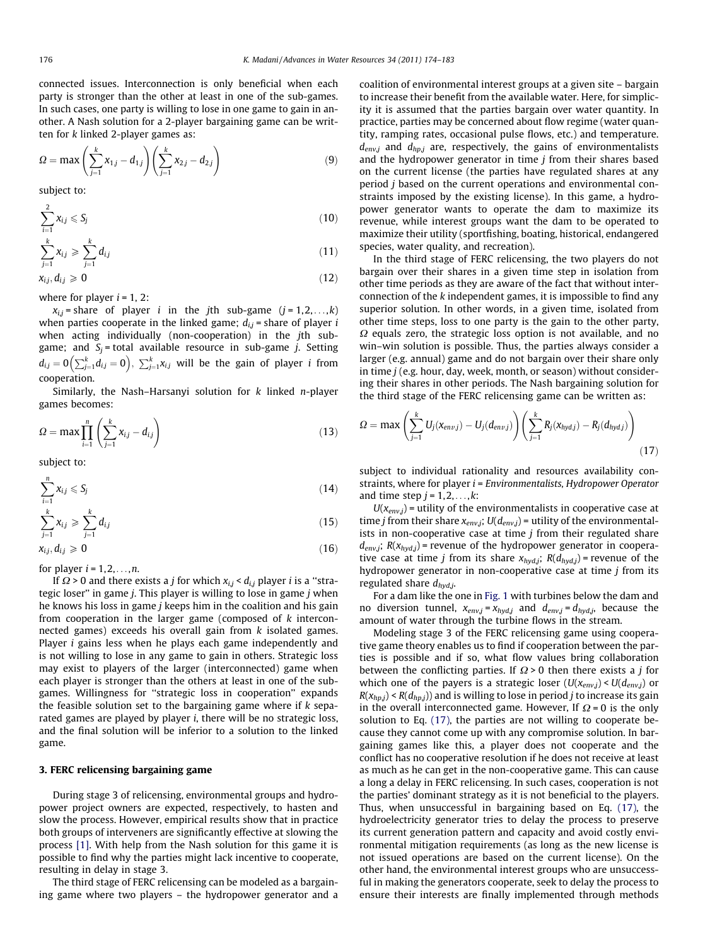<span id="page-2-0"></span>connected issues. Interconnection is only beneficial when each party is stronger than the other at least in one of the sub-games. In such cases, one party is willing to lose in one game to gain in another. A Nash solution for a 2-player bargaining game can be written for k linked 2-player games as:

$$
\Omega = \max \left( \sum_{j=1}^{k} x_{1,j} - d_{1,j} \right) \left( \sum_{j=1}^{k} x_{2,j} - d_{2,j} \right) \tag{9}
$$

subject to:

$$
\sum_{i=1}^{2} x_{ij} \leqslant S_j \tag{10}
$$

$$
\sum_{j=1}^{k} x_{i,j} \geqslant \sum_{j=1}^{k} d_{i,j} \tag{11}
$$

 $x_{i,j}, d_{i,j} \geqslant 0$  (12)

where for player  $i = 1, 2$ :

 $x_{i,j}$  = share of player *i* in the *j*th sub-game (*j* = 1,2,...,*k*) when parties cooperate in the linked game;  $d_{i,j}$  = share of player *i* when acting individually (non-cooperation) in the jth subgame; and  $S_j$  = total available resource in sub-game j. Setting  $d_{ij} = 0 \left( \sum_{j=1}^k d_{ij} = 0 \right), \sum_{j=1}^k x_{ij}$  will be the gain of player *i* from cooperation.

Similarly, the Nash-Harsanyi solution for  $k$  linked *n*-player games becomes:

$$
\Omega = \max \prod_{i=1}^{n} \left( \sum_{j=1}^{k} x_{ij} - d_{ij} \right) \tag{13}
$$

subject to:

$$
\sum_{i=1}^n x_{i,j} \leqslant S_j \tag{14}
$$

$$
\sum_{j=1}^{k} x_{ij} \geqslant \sum_{j=1}^{k} d_{ij} \tag{15}
$$

$$
x_{ij}, d_{ij} \ge 0 \tag{16}
$$

for player  $i = 1, 2, \ldots, n$ .

If  $\Omega$  > 0 and there exists a *j* for which  $x_{i,j}$  <  $d_{i,j}$  player *i* is a "strategic loser" in game  $j$ . This player is willing to lose in game  $j$  when he knows his loss in game j keeps him in the coalition and his gain from cooperation in the larger game (composed of k interconnected games) exceeds his overall gain from  $k$  isolated games. Player *i* gains less when he plays each game independently and is not willing to lose in any game to gain in others. Strategic loss may exist to players of the larger (interconnected) game when each player is stronger than the others at least in one of the subgames. Willingness for ''strategic loss in cooperation'' expands the feasible solution set to the bargaining game where if  $k$  separated games are played by player  $i$ , there will be no strategic loss, and the final solution will be inferior to a solution to the linked game.

#### 3. FERC relicensing bargaining game

During stage 3 of relicensing, environmental groups and hydropower project owners are expected, respectively, to hasten and slow the process. However, empirical results show that in practice both groups of interveners are significantly effective at slowing the process [\[1\].](#page-9-0) With help from the Nash solution for this game it is possible to find why the parties might lack incentive to cooperate, resulting in delay in stage 3.

The third stage of FERC relicensing can be modeled as a bargaining game where two players – the hydropower generator and a coalition of environmental interest groups at a given site – bargain to increase their benefit from the available water. Here, for simplicity it is assumed that the parties bargain over water quantity. In practice, parties may be concerned about flow regime (water quantity, ramping rates, occasional pulse flows, etc.) and temperature.  $d_{env,j}$  and  $d_{hp,j}$  are, respectively, the gains of environmentalists and the hydropower generator in time  $j$  from their shares based on the current license (the parties have regulated shares at any period j based on the current operations and environmental constraints imposed by the existing license). In this game, a hydropower generator wants to operate the dam to maximize its revenue, while interest groups want the dam to be operated to maximize their utility (sportfishing, boating, historical, endangered species, water quality, and recreation).

In the third stage of FERC relicensing, the two players do not bargain over their shares in a given time step in isolation from other time periods as they are aware of the fact that without interconnection of the k independent games, it is impossible to find any superior solution. In other words, in a given time, isolated from other time steps, loss to one party is the gain to the other party,  $\Omega$  equals zero, the strategic loss option is not available, and no win–win solution is possible. Thus, the parties always consider a larger (e.g. annual) game and do not bargain over their share only in time  $j$  (e.g. hour, day, week, month, or season) without considering their shares in other periods. The Nash bargaining solution for the third stage of the FERC relicensing game can be written as:

$$
\Omega = \max \left( \sum_{j=1}^{k} U_j (x_{env,j}) - U_j (d_{env,j}) \right) \left( \sum_{j=1}^{k} R_j (x_{hydj}) - R_j (d_{hydj}) \right) \tag{17}
$$

subject to individual rationality and resources availability constraints, where for player i = Environmentalists, Hydropower Operator and time step  $j = 1, 2, \ldots, k$ :

 $U(x_{env,j})$  = utility of the environmentalists in cooperative case at time *j* from their share  $x_{env,j}$ ;  $U(d_{env,j})$  = utility of the environmentalists in non-cooperative case at time  $j$  from their regulated share  $d_{env,j}$ ;  $R(x_{hydj})$  = revenue of the hydropower generator in cooperative case at time *j* from its share  $x_{hyd,j}$ ;  $R(d_{hyd,j})$  = revenue of the hydropower generator in non-cooperative case at time  $j$  from its regulated share  $d_{hyd,j}$ .

For a dam like the one in [Fig. 1](#page-3-0) with turbines below the dam and no diversion tunnel,  $x_{env,j} = x_{hyd,j}$  and  $d_{env,j} = d_{hyd,j}$ , because the amount of water through the turbine flows in the stream.

Modeling stage 3 of the FERC relicensing game using cooperative game theory enables us to find if cooperation between the parties is possible and if so, what flow values bring collaboration between the conflicting parties. If  $\Omega$  > 0 then there exists a *j* for which one of the payers is a strategic loser  $(U(x_{env,j}) < U(d_{env,j})$  or  $R(x_{hp,j}) < R(d_{hp,j})$  and is willing to lose in period *j* to increase its gain in the overall interconnected game. However, If  $\Omega$  = 0 is the only solution to Eq. (17), the parties are not willing to cooperate because they cannot come up with any compromise solution. In bargaining games like this, a player does not cooperate and the conflict has no cooperative resolution if he does not receive at least as much as he can get in the non-cooperative game. This can cause a long a delay in FERC relicensing. In such cases, cooperation is not the parties' dominant strategy as it is not beneficial to the players. Thus, when unsuccessful in bargaining based on Eq. (17), the hydroelectricity generator tries to delay the process to preserve its current generation pattern and capacity and avoid costly environmental mitigation requirements (as long as the new license is not issued operations are based on the current license). On the other hand, the environmental interest groups who are unsuccessful in making the generators cooperate, seek to delay the process to ensure their interests are finally implemented through methods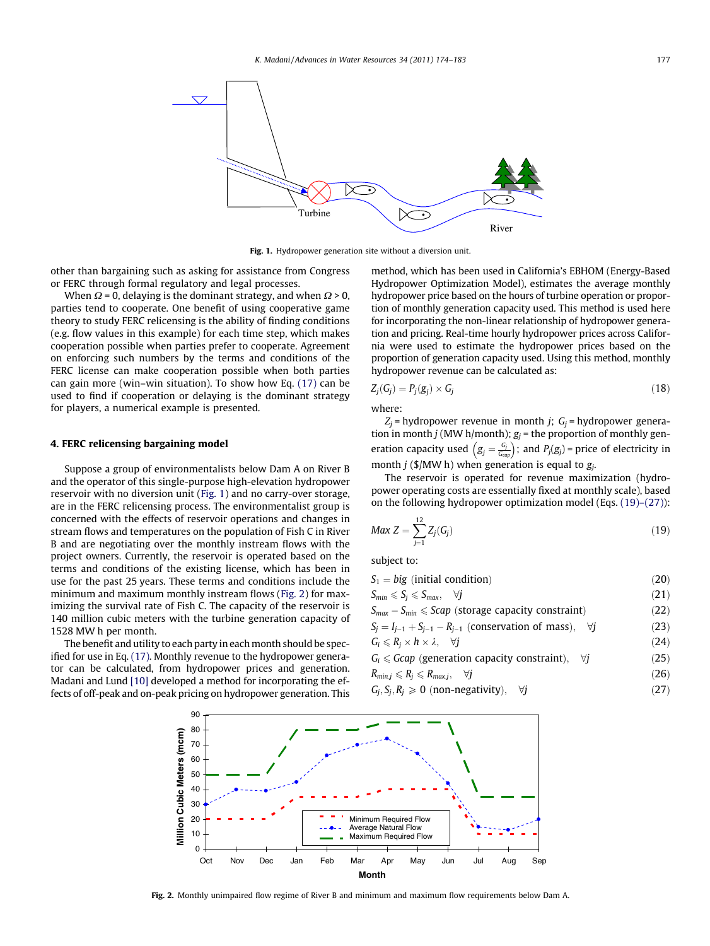<span id="page-3-0"></span>

Fig. 1. Hydropower generation site without a diversion unit.

other than bargaining such as asking for assistance from Congress or FERC through formal regulatory and legal processes.

When  $\Omega$  = 0, delaying is the dominant strategy, and when  $\Omega$  > 0, parties tend to cooperate. One benefit of using cooperative game theory to study FERC relicensing is the ability of finding conditions (e.g. flow values in this example) for each time step, which makes cooperation possible when parties prefer to cooperate. Agreement on enforcing such numbers by the terms and conditions of the FERC license can make cooperation possible when both parties can gain more (win–win situation). To show how Eq. [\(17\)](#page-2-0) can be used to find if cooperation or delaying is the dominant strategy for players, a numerical example is presented.

#### 4. FERC relicensing bargaining model

Suppose a group of environmentalists below Dam A on River B and the operator of this single-purpose high-elevation hydropower reservoir with no diversion unit (Fig. 1) and no carry-over storage, are in the FERC relicensing process. The environmentalist group is concerned with the effects of reservoir operations and changes in stream flows and temperatures on the population of Fish C in River B and are negotiating over the monthly instream flows with the project owners. Currently, the reservoir is operated based on the terms and conditions of the existing license, which has been in use for the past 25 years. These terms and conditions include the minimum and maximum monthly instream flows (Fig. 2) for maximizing the survival rate of Fish C. The capacity of the reservoir is 140 million cubic meters with the turbine generation capacity of 1528 MW h per month.

The benefit and utility to each party in each month should be specified for use in Eq. [\(17\)](#page-2-0). Monthly revenue to the hydropower generator can be calculated, from hydropower prices and generation. Madani and Lund [\[10\]](#page-9-0) developed a method for incorporating the effects of off-peak and on-peak pricing on hydropower generation. This method, which has been used in California's EBHOM (Energy-Based Hydropower Optimization Model), estimates the average monthly hydropower price based on the hours of turbine operation or proportion of monthly generation capacity used. This method is used here for incorporating the non-linear relationship of hydropower generation and pricing. Real-time hourly hydropower prices across California were used to estimate the hydropower prices based on the proportion of generation capacity used. Using this method, monthly hydropower revenue can be calculated as:

$$
Z_j(G_j) = P_j(g_j) \times G_j \tag{18}
$$

where:

 $Z_i$  = hydropower revenue in month *j*;  $G_i$  = hydropower generation in month *j* (MW h/month);  $g_i$  = the proportion of monthly generation capacity used  $(g_j = \frac{G_j}{G_{cap}})$ ; and  $P_j(g_j)$  = price of electricity in month *j* (\$/MW h) when generation is equal to  $g_j$ .

The reservoir is operated for revenue maximization (hydropower operating costs are essentially fixed at monthly scale), based on the following hydropower optimization model (Eqs. (19)–(27)):

$$
Max Z = \sum_{j=1}^{12} Z_j(G_j)
$$
 (19)

subject to:

$$
S_1 = big \text{ (initial condition)} \tag{20}
$$

 $S_{min} \leqslant S_j \leqslant S_{max}, \quad \forall j$  (21)

$$
S_{max} - S_{min} \leqslant Scap \ (storage capacity constraint) \tag{22}
$$

 $S_j = I_{j-1} + S_{j-1} - R_{j-1}$  (conservation of mass),  $\forall j$  (23)

$$
G_i \leq R_j \times h \times \lambda, \quad \forall j \tag{24}
$$

 $G_i \leqslant Gcap$  (generation capacity constraint),  $\forall j$  (25)

$$
R_{min,j} \leqslant R_j \leqslant R_{max,j}, \quad \forall j \tag{26}
$$

$$
G_j, S_j, R_j \geq 0 \text{ (non-negativity)}, \quad \forall j \tag{27}
$$



Fig. 2. Monthly unimpaired flow regime of River B and minimum and maximum flow requirements below Dam A.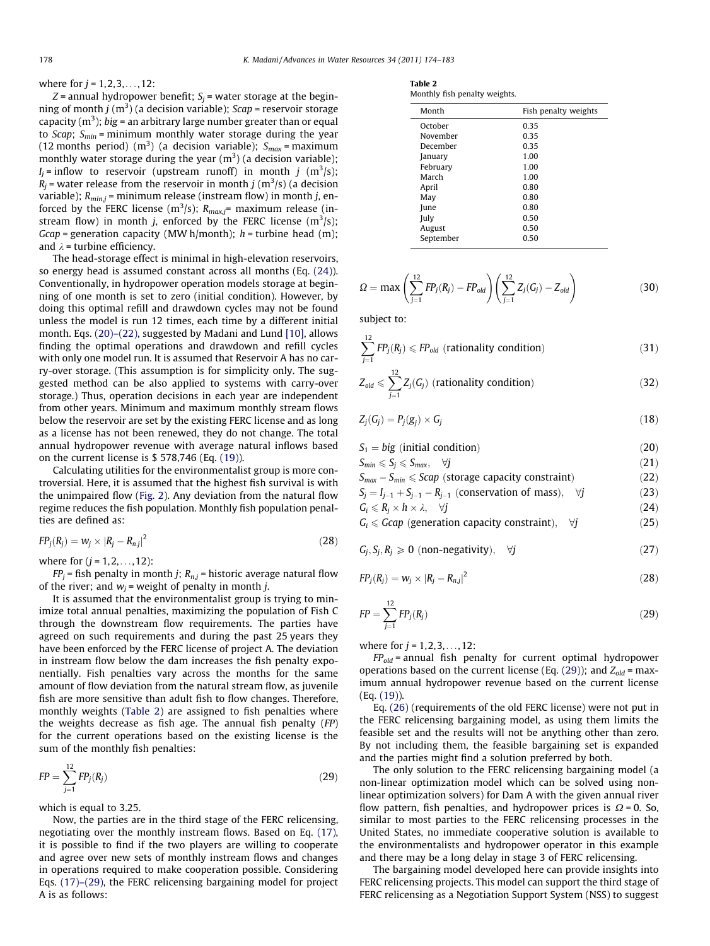where for  $j = 1, 2, 3, ..., 12$ :

 $Z$  = annual hydropower benefit;  $S_i$  = water storage at the beginning of month j  $(\mathrm{m}^3)$  (a decision variable); Scap = reservoir storage capacity (m $^3$ ); big = an arbitrary large number greater than or equal to *Scap*;  $S_{min}$  = minimum monthly water storage during the year (12 months period) (m<sup>3</sup>) (a decision variable);  $S_{max}$  = maximum monthly water storage during the year (m $^3$ ) (a decision variable);  $I_j$  = inflow to reservoir (upstream runoff) in month  $j \,$  (m<sup>3</sup>/s);  $\tilde{R}_j$  = water release from the reservoir in month  $j$  (m $^3$ /s) (a decision variable);  $R_{min,i}$  = minimum release (instream flow) in month j, enforced by the FERC license (m<sup>3</sup>/s);  $R_{max,j}$ = maximum release (instream flow) in month *j*, enforced by the FERC license  $(m^3/s)$ ; Gcap = generation capacity (MW h/month);  $h$  = turbine head (m); and  $\lambda$  = turbine efficiency.

The head-storage effect is minimal in high-elevation reservoirs, so energy head is assumed constant across all months (Eq. (24)). Conventionally, in hydropower operation models storage at beginning of one month is set to zero (initial condition). However, by doing this optimal refill and drawdown cycles may not be found unless the model is run 12 times, each time by a different initial month. Eqs. [\(20\)–\(22\)](#page-3-0), suggested by Madani and Lund [\[10\]](#page-9-0), allows finding the optimal operations and drawdown and refill cycles with only one model run. It is assumed that Reservoir A has no carry-over storage. (This assumption is for simplicity only. The suggested method can be also applied to systems with carry-over storage.) Thus, operation decisions in each year are independent from other years. Minimum and maximum monthly stream flows below the reservoir are set by the existing FERC license and as long as a license has not been renewed, they do not change. The total annual hydropower revenue with average natural inflows based on the current license is \$ 578,746 (Eq. [\(19\)](#page-3-0)).

Calculating utilities for the environmentalist group is more controversial. Here, it is assumed that the highest fish survival is with the unimpaired flow ([Fig. 2\)](#page-3-0). Any deviation from the natural flow regime reduces the fish population. Monthly fish population penalties are defined as:

$$
FP_j(R_j) = w_j \times |R_j - R_{nj}|^2 \tag{28}
$$

where for  $(j = 1, 2, ..., 12)$ :

 $FP_j$  = fish penalty in month j;  $R_{nj}$  = historic average natural flow of the river; and  $w_i$  = weight of penalty in month *j*.

It is assumed that the environmentalist group is trying to minimize total annual penalties, maximizing the population of Fish C through the downstream flow requirements. The parties have agreed on such requirements and during the past 25 years they have been enforced by the FERC license of project A. The deviation in instream flow below the dam increases the fish penalty exponentially. Fish penalties vary across the months for the same amount of flow deviation from the natural stream flow, as juvenile fish are more sensitive than adult fish to flow changes. Therefore, monthly weights (Table 2) are assigned to fish penalties where the weights decrease as fish age. The annual fish penalty (FP) for the current operations based on the existing license is the sum of the monthly fish penalties:

$$
FP = \sum_{j=1}^{12} FP_j(R_j)
$$
 (29)

which is equal to 3.25.

Now, the parties are in the third stage of the FERC relicensing, negotiating over the monthly instream flows. Based on Eq. [\(17\),](#page-2-0) it is possible to find if the two players are willing to cooperate and agree over new sets of monthly instream flows and changes in operations required to make cooperation possible. Considering Eqs. [\(17\)–\(29\),](#page-2-0) the FERC relicensing bargaining model for project A is as follows:

| Table 2 |  |                               |
|---------|--|-------------------------------|
|         |  | Monthly fish penalty weights. |

| Month     | Fish penalty weights |
|-----------|----------------------|
| October   | 0.35                 |
| November  | 0.35                 |
| December  | 0.35                 |
| January   | 1.00                 |
| February  | 1.00                 |
| March     | 1.00                 |
| April     | 0.80                 |
| May       | 0.80                 |
| June      | 0.80                 |
| July      | 0.50                 |
| August    | 0.50                 |
| September | 0.50                 |
|           |                      |

$$
\Omega = \max \left( \sum_{j=1}^{12} FP_j(R_j) - FP_{old} \right) \left( \sum_{j=1}^{12} Z_j(G_j) - Z_{old} \right) \tag{30}
$$

subject to:

$$
\sum_{j=1}^{12} FP_j(R_j) \leq FP_{old} \text{ (rationality condition)} \tag{31}
$$

$$
Z_{old} \leqslant \sum_{j=1}^{12} Z_j(G_j) \text{ (rationality condition)} \tag{32}
$$

$$
Z_j(G_j) = P_j(g_j) \times G_j \tag{18}
$$

 $S_1 = big$  (initial condition) (20)

$$
S_{min} \leqslant S_j \leqslant S_{max}, \quad \forall j \tag{21}
$$

$$
S_{max} - S_{min} \leqslant Scap \text{ (storage capacity constraint)} \tag{22}
$$
\n
$$
S_j = I_{j-1} + S_{j-1} - R_{j-1} \text{ (conservation of mass)}, \quad \forall j \tag{23}
$$

$$
G_i \le R_j \times h \times \lambda, \quad \forall j
$$
 (24)

$$
G_i \leqslant Gcap \text{ (generation capacity constraint)}, \quad \forall j \tag{25}
$$

$$
G_j, S_j, R_j \geq 0 \text{ (non-negativity)}, \quad \forall j \tag{27}
$$

$$
FP_j(R_j) = w_j \times |R_j - R_{nj}|^2 \tag{28}
$$

$$
FP = \sum_{j=1}^{12} FP_j(R_j)
$$
 (29)

where for  $j = 1, 2, 3, ..., 12$ :

 $FP_{old}$  = annual fish penalty for current optimal hydropower operations based on the current license (Eq. (29)); and  $Z_{old}$  = maximum annual hydropower revenue based on the current license (Eq. [\(19\)](#page-3-0)).

Eq. (26) (requirements of the old FERC license) were not put in the FERC relicensing bargaining model, as using them limits the feasible set and the results will not be anything other than zero. By not including them, the feasible bargaining set is expanded and the parties might find a solution preferred by both.

The only solution to the FERC relicensing bargaining model (a non-linear optimization model which can be solved using nonlinear optimization solvers) for Dam A with the given annual river flow pattern, fish penalties, and hydropower prices is  $\Omega$  = 0. So, similar to most parties to the FERC relicensing processes in the United States, no immediate cooperative solution is available to the environmentalists and hydropower operator in this example and there may be a long delay in stage 3 of FERC relicensing.

The bargaining model developed here can provide insights into FERC relicensing projects. This model can support the third stage of FERC relicensing as a Negotiation Support System (NSS) to suggest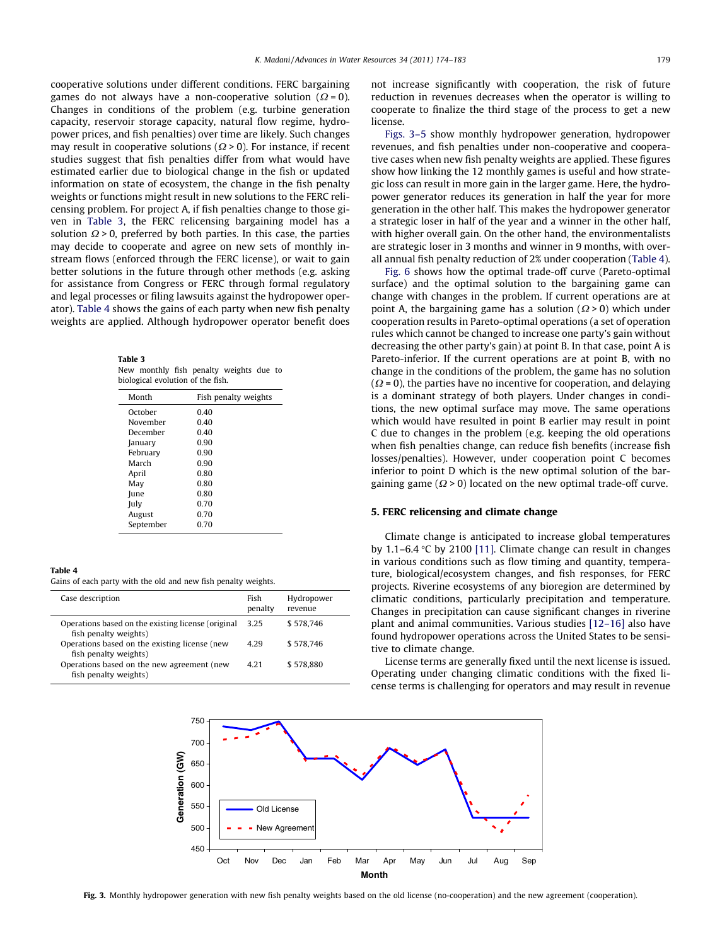cooperative solutions under different conditions. FERC bargaining games do not always have a non-cooperative solution ( $\Omega = 0$ ). Changes in conditions of the problem (e.g. turbine generation capacity, reservoir storage capacity, natural flow regime, hydropower prices, and fish penalties) over time are likely. Such changes may result in cooperative solutions ( $\Omega$  > 0). For instance, if recent studies suggest that fish penalties differ from what would have estimated earlier due to biological change in the fish or updated information on state of ecosystem, the change in the fish penalty weights or functions might result in new solutions to the FERC relicensing problem. For project A, if fish penalties change to those given in Table 3, the FERC relicensing bargaining model has a solution  $\Omega$  > 0, preferred by both parties. In this case, the parties may decide to cooperate and agree on new sets of monthly instream flows (enforced through the FERC license), or wait to gain better solutions in the future through other methods (e.g. asking for assistance from Congress or FERC through formal regulatory and legal processes or filing lawsuits against the hydropower operator). Table 4 shows the gains of each party when new fish penalty weights are applied. Although hydropower operator benefit does

Table 3 New monthly fish penalty weights due to biological evolution of the fish.

| Month     | Fish penalty weights |
|-----------|----------------------|
| October   | 0.40                 |
| November  | 0.40                 |
| December  | 0.40                 |
| January   | 0.90                 |
| February  | 0.90                 |
| March     | 0.90                 |
| April     | 0.80                 |
| May       | 0.80                 |
| June      | 0.80                 |
| July      | 0.70                 |
| August    | 0.70                 |
| September | 0.70                 |

#### Table 4

Gains of each party with the old and new fish penalty weights.

| Case description                                                            | Fish<br>penalty | Hydropower<br>revenue |
|-----------------------------------------------------------------------------|-----------------|-----------------------|
| Operations based on the existing license (original<br>fish penalty weights) | 3.25            | \$578.746             |
| Operations based on the existing license (new<br>fish penalty weights)      | 4 2 9           | \$578.746             |
| Operations based on the new agreement (new<br>fish penalty weights)         | 4 2 1           | \$578.880             |

not increase significantly with cooperation, the risk of future reduction in revenues decreases when the operator is willing to cooperate to finalize the third stage of the process to get a new license.

Figs. 3–5 show monthly hydropower generation, hydropower revenues, and fish penalties under non-cooperative and cooperative cases when new fish penalty weights are applied. These figures show how linking the 12 monthly games is useful and how strategic loss can result in more gain in the larger game. Here, the hydropower generator reduces its generation in half the year for more generation in the other half. This makes the hydropower generator a strategic loser in half of the year and a winner in the other half, with higher overall gain. On the other hand, the environmentalists are strategic loser in 3 months and winner in 9 months, with overall annual fish penalty reduction of 2% under cooperation (Table 4).

[Fig. 6](#page-6-0) shows how the optimal trade-off curve (Pareto-optimal surface) and the optimal solution to the bargaining game can change with changes in the problem. If current operations are at point A, the bargaining game has a solution ( $\Omega$  > 0) which under cooperation results in Pareto-optimal operations (a set of operation rules which cannot be changed to increase one party's gain without decreasing the other party's gain) at point B. In that case, point A is Pareto-inferior. If the current operations are at point B, with no change in the conditions of the problem, the game has no solution  $(\Omega = 0)$ , the parties have no incentive for cooperation, and delaying is a dominant strategy of both players. Under changes in conditions, the new optimal surface may move. The same operations which would have resulted in point B earlier may result in point C due to changes in the problem (e.g. keeping the old operations when fish penalties change, can reduce fish benefits (increase fish losses/penalties). However, under cooperation point C becomes inferior to point D which is the new optimal solution of the bargaining game ( $\Omega$  > 0) located on the new optimal trade-off curve.

#### 5. FERC relicensing and climate change

Climate change is anticipated to increase global temperatures by 1.1–6.4  $\degree$ C by 2100 [\[11\]](#page-9-0). Climate change can result in changes in various conditions such as flow timing and quantity, temperature, biological/ecosystem changes, and fish responses, for FERC projects. Riverine ecosystems of any bioregion are determined by climatic conditions, particularly precipitation and temperature. Changes in precipitation can cause significant changes in riverine plant and animal communities. Various studies [\[12–16\]](#page-9-0) also have found hydropower operations across the United States to be sensitive to climate change.

License terms are generally fixed until the next license is issued. Operating under changing climatic conditions with the fixed license terms is challenging for operators and may result in revenue



Fig. 3. Monthly hydropower generation with new fish penalty weights based on the old license (no-cooperation) and the new agreement (cooperation).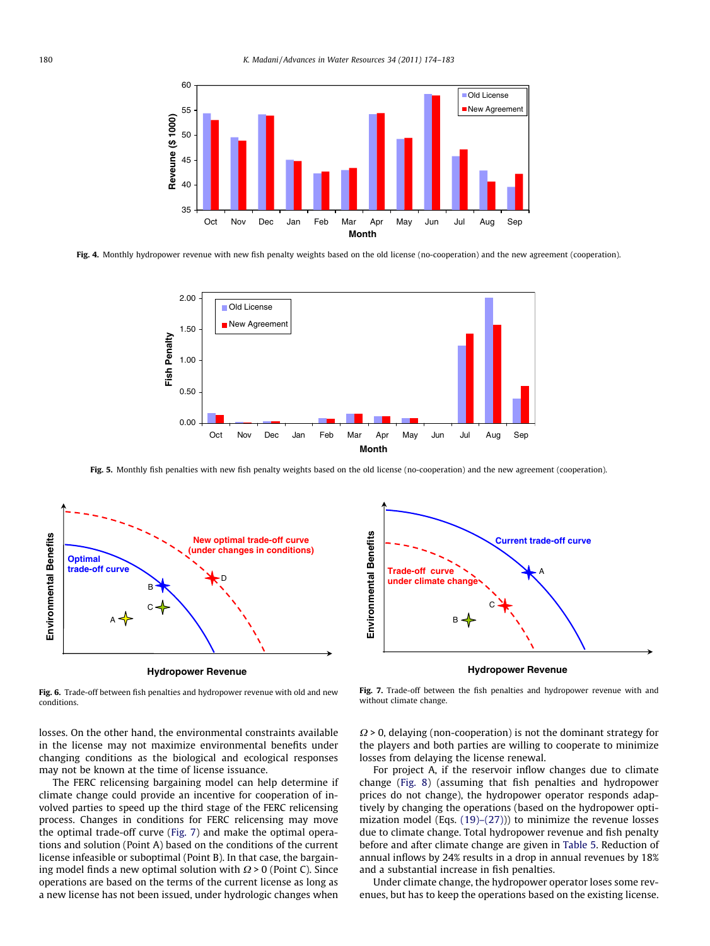<span id="page-6-0"></span>

Fig. 4. Monthly hydropower revenue with new fish penalty weights based on the old license (no-cooperation) and the new agreement (cooperation).



Fig. 5. Monthly fish penalties with new fish penalty weights based on the old license (no-cooperation) and the new agreement (cooperation).



**Hydropower Revenue** 

Fig. 6. Trade-off between fish penalties and hydropower revenue with old and new conditions.

losses. On the other hand, the environmental constraints available in the license may not maximize environmental benefits under changing conditions as the biological and ecological responses may not be known at the time of license issuance.

The FERC relicensing bargaining model can help determine if climate change could provide an incentive for cooperation of involved parties to speed up the third stage of the FERC relicensing process. Changes in conditions for FERC relicensing may move the optimal trade-off curve (Fig. 7) and make the optimal operations and solution (Point A) based on the conditions of the current license infeasible or suboptimal (Point B). In that case, the bargaining model finds a new optimal solution with  $\Omega$  > 0 (Point C). Since operations are based on the terms of the current license as long as a new license has not been issued, under hydrologic changes when



**Hydropower Revenue** 

Fig. 7. Trade-off between the fish penalties and hydropower revenue with and without climate change.

 $\Omega$  > 0, delaying (non-cooperation) is not the dominant strategy for the players and both parties are willing to cooperate to minimize losses from delaying the license renewal.

For project A, if the reservoir inflow changes due to climate change [\(Fig. 8\)](#page-7-0) (assuming that fish penalties and hydropower prices do not change), the hydropower operator responds adaptively by changing the operations (based on the hydropower optimization model (Eqs. [\(19\)–\(27\)](#page-3-0))) to minimize the revenue losses due to climate change. Total hydropower revenue and fish penalty before and after climate change are given in [Table 5](#page-7-0). Reduction of annual inflows by 24% results in a drop in annual revenues by 18% and a substantial increase in fish penalties.

Under climate change, the hydropower operator loses some revenues, but has to keep the operations based on the existing license.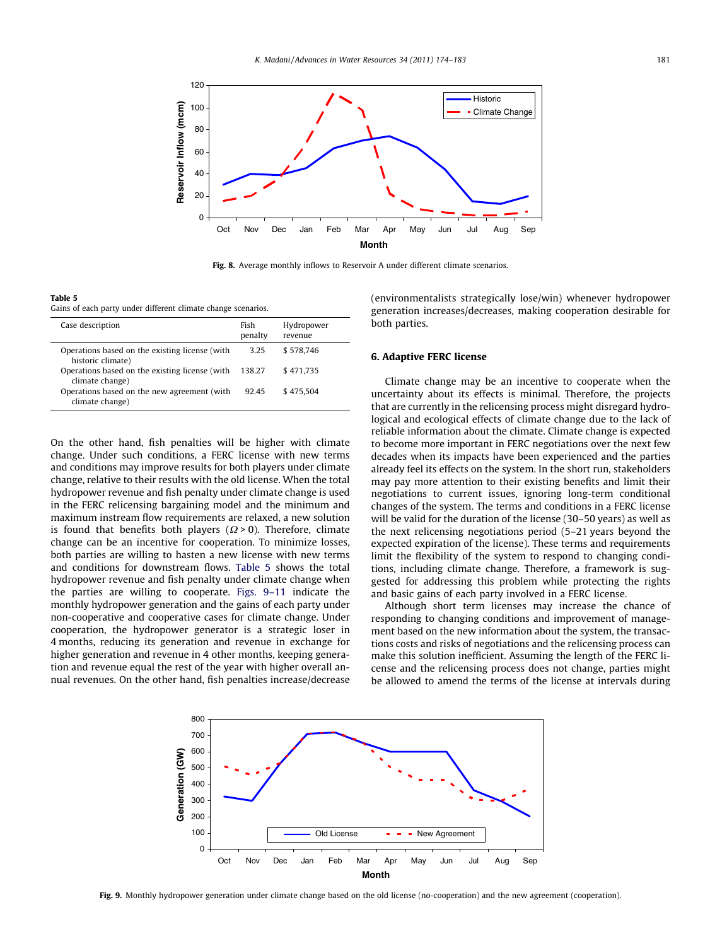<span id="page-7-0"></span>

Fig. 8. Average monthly inflows to Reservoir A under different climate scenarios.

Table 5 Gains of each party under different climate change scenarios.

| Case description                                                    | Fish<br>penalty | Hydropower<br>revenue |
|---------------------------------------------------------------------|-----------------|-----------------------|
| Operations based on the existing license (with<br>historic climate) | 3.25            | \$578.746             |
| Operations based on the existing license (with<br>climate change)   | 138.27          | \$471.735             |
| Operations based on the new agreement (with<br>climate change)      | 92.45           | \$475.504             |

On the other hand, fish penalties will be higher with climate change. Under such conditions, a FERC license with new terms and conditions may improve results for both players under climate change, relative to their results with the old license. When the total hydropower revenue and fish penalty under climate change is used in the FERC relicensing bargaining model and the minimum and maximum instream flow requirements are relaxed, a new solution is found that benefits both players ( $\Omega$  > 0). Therefore, climate change can be an incentive for cooperation. To minimize losses, both parties are willing to hasten a new license with new terms and conditions for downstream flows. Table 5 shows the total hydropower revenue and fish penalty under climate change when the parties are willing to cooperate. Figs. 9–11 indicate the monthly hydropower generation and the gains of each party under non-cooperative and cooperative cases for climate change. Under cooperation, the hydropower generator is a strategic loser in 4 months, reducing its generation and revenue in exchange for higher generation and revenue in 4 other months, keeping generation and revenue equal the rest of the year with higher overall annual revenues. On the other hand, fish penalties increase/decrease (environmentalists strategically lose/win) whenever hydropower generation increases/decreases, making cooperation desirable for both parties.

#### 6. Adaptive FERC license

Climate change may be an incentive to cooperate when the uncertainty about its effects is minimal. Therefore, the projects that are currently in the relicensing process might disregard hydrological and ecological effects of climate change due to the lack of reliable information about the climate. Climate change is expected to become more important in FERC negotiations over the next few decades when its impacts have been experienced and the parties already feel its effects on the system. In the short run, stakeholders may pay more attention to their existing benefits and limit their negotiations to current issues, ignoring long-term conditional changes of the system. The terms and conditions in a FERC license will be valid for the duration of the license (30–50 years) as well as the next relicensing negotiations period (5–21 years beyond the expected expiration of the license). These terms and requirements limit the flexibility of the system to respond to changing conditions, including climate change. Therefore, a framework is suggested for addressing this problem while protecting the rights and basic gains of each party involved in a FERC license.

Although short term licenses may increase the chance of responding to changing conditions and improvement of management based on the new information about the system, the transactions costs and risks of negotiations and the relicensing process can make this solution inefficient. Assuming the length of the FERC license and the relicensing process does not change, parties might be allowed to amend the terms of the license at intervals during



Fig. 9. Monthly hydropower generation under climate change based on the old license (no-cooperation) and the new agreement (cooperation).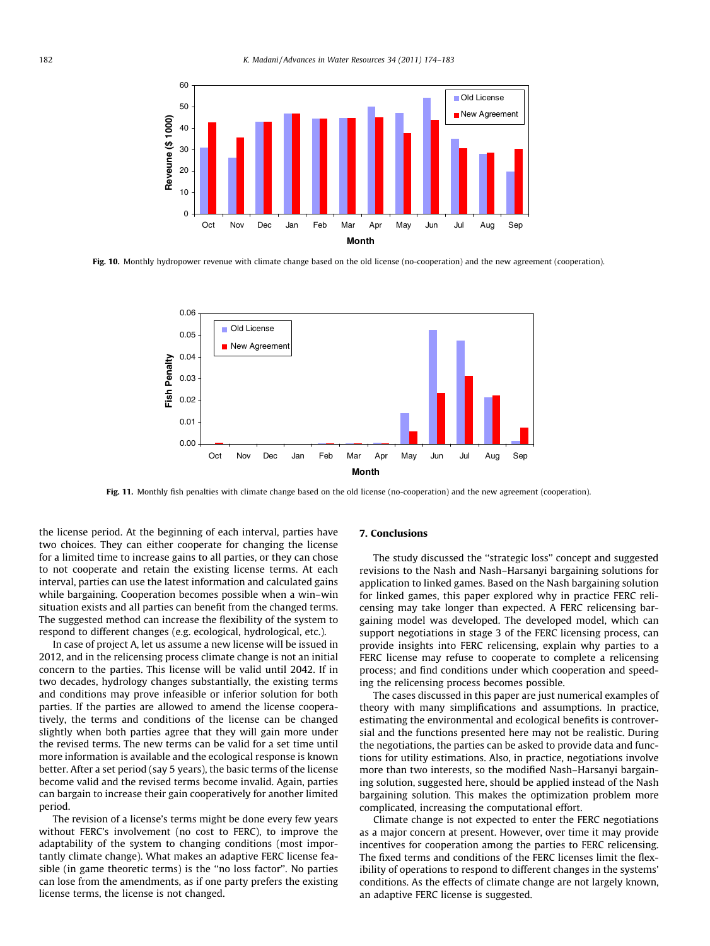

Fig. 10. Monthly hydropower revenue with climate change based on the old license (no-cooperation) and the new agreement (cooperation).



Fig. 11. Monthly fish penalties with climate change based on the old license (no-cooperation) and the new agreement (cooperation).

the license period. At the beginning of each interval, parties have two choices. They can either cooperate for changing the license for a limited time to increase gains to all parties, or they can chose to not cooperate and retain the existing license terms. At each interval, parties can use the latest information and calculated gains while bargaining. Cooperation becomes possible when a win–win situation exists and all parties can benefit from the changed terms. The suggested method can increase the flexibility of the system to respond to different changes (e.g. ecological, hydrological, etc.).

In case of project A, let us assume a new license will be issued in 2012, and in the relicensing process climate change is not an initial concern to the parties. This license will be valid until 2042. If in two decades, hydrology changes substantially, the existing terms and conditions may prove infeasible or inferior solution for both parties. If the parties are allowed to amend the license cooperatively, the terms and conditions of the license can be changed slightly when both parties agree that they will gain more under the revised terms. The new terms can be valid for a set time until more information is available and the ecological response is known better. After a set period (say 5 years), the basic terms of the license become valid and the revised terms become invalid. Again, parties can bargain to increase their gain cooperatively for another limited period.

The revision of a license's terms might be done every few years without FERC's involvement (no cost to FERC), to improve the adaptability of the system to changing conditions (most importantly climate change). What makes an adaptive FERC license feasible (in game theoretic terms) is the ''no loss factor''. No parties can lose from the amendments, as if one party prefers the existing license terms, the license is not changed.

#### 7. Conclusions

The study discussed the ''strategic loss'' concept and suggested revisions to the Nash and Nash–Harsanyi bargaining solutions for application to linked games. Based on the Nash bargaining solution for linked games, this paper explored why in practice FERC relicensing may take longer than expected. A FERC relicensing bargaining model was developed. The developed model, which can support negotiations in stage 3 of the FERC licensing process, can provide insights into FERC relicensing, explain why parties to a FERC license may refuse to cooperate to complete a relicensing process; and find conditions under which cooperation and speeding the relicensing process becomes possible.

The cases discussed in this paper are just numerical examples of theory with many simplifications and assumptions. In practice, estimating the environmental and ecological benefits is controversial and the functions presented here may not be realistic. During the negotiations, the parties can be asked to provide data and functions for utility estimations. Also, in practice, negotiations involve more than two interests, so the modified Nash–Harsanyi bargaining solution, suggested here, should be applied instead of the Nash bargaining solution. This makes the optimization problem more complicated, increasing the computational effort.

Climate change is not expected to enter the FERC negotiations as a major concern at present. However, over time it may provide incentives for cooperation among the parties to FERC relicensing. The fixed terms and conditions of the FERC licenses limit the flexibility of operations to respond to different changes in the systems' conditions. As the effects of climate change are not largely known, an adaptive FERC license is suggested.